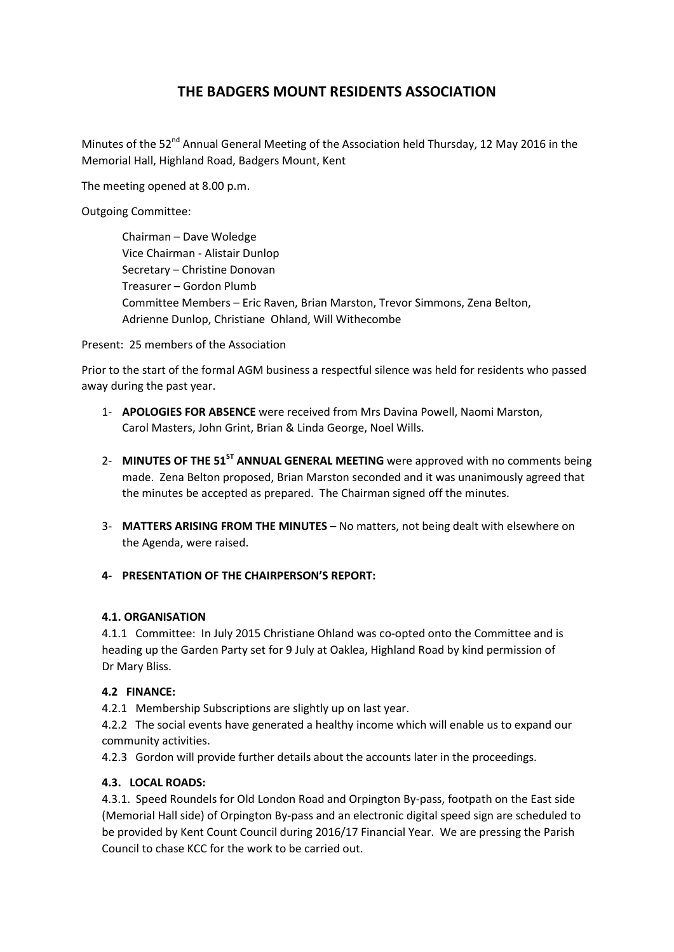# THE BADGERS MOUNT RESIDENTS ASSOCIATION

Minutes of the 52<sup>nd</sup> Annual General Meeting of the Association held Thursday, 12 May 2016 in the Memorial Hall, Highland Road, Badgers Mount, Kent

The meeting opened at 8.00 p.m.

Outgoing Committee:

Chairman – Dave Woledge Vice Chairman - Alistair Dunlop Secretary – Christine Donovan Treasurer – Gordon Plumb Committee Members – Eric Raven, Brian Marston, Trevor Simmons, Zena Belton, Adrienne Dunlop, Christiane Ohland, Will Withecombe

Present: 25 members of the Association

Prior to the start of the formal AGM business a respectful silence was held for residents who passed away during the past year.

- 1- APOLOGIES FOR ABSENCE were received from Mrs Davina Powell, Naomi Marston, Carol Masters, John Grint, Brian & Linda George, Noel Wills.
- 2- MINUTES OF THE 51<sup>ST</sup> ANNUAL GENERAL MEETING were approved with no comments being made. Zena Belton proposed, Brian Marston seconded and it was unanimously agreed that the minutes be accepted as prepared. The Chairman signed off the minutes.
- 3- MATTERS ARISING FROM THE MINUTES No matters, not being dealt with elsewhere on the Agenda, were raised.

# 4- PRESENTATION OF THE CHAIRPERSON'S REPORT:

### 4.1. ORGANISATION

4.1.1 Committee: In July 2015 Christiane Ohland was co-opted onto the Committee and is heading up the Garden Party set for 9 July at Oaklea, Highland Road by kind permission of Dr Mary Bliss.

### 4.2 FINANCE:

4.2.1 Membership Subscriptions are slightly up on last year.

4.2.2 The social events have generated a healthy income which will enable us to expand our community activities.

4.2.3 Gordon will provide further details about the accounts later in the proceedings.

# 4.3. LOCAL ROADS:

4.3.1. Speed Roundels for Old London Road and Orpington By-pass, footpath on the East side (Memorial Hall side) of Orpington By-pass and an electronic digital speed sign are scheduled to be provided by Kent Count Council during 2016/17 Financial Year. We are pressing the Parish Council to chase KCC for the work to be carried out.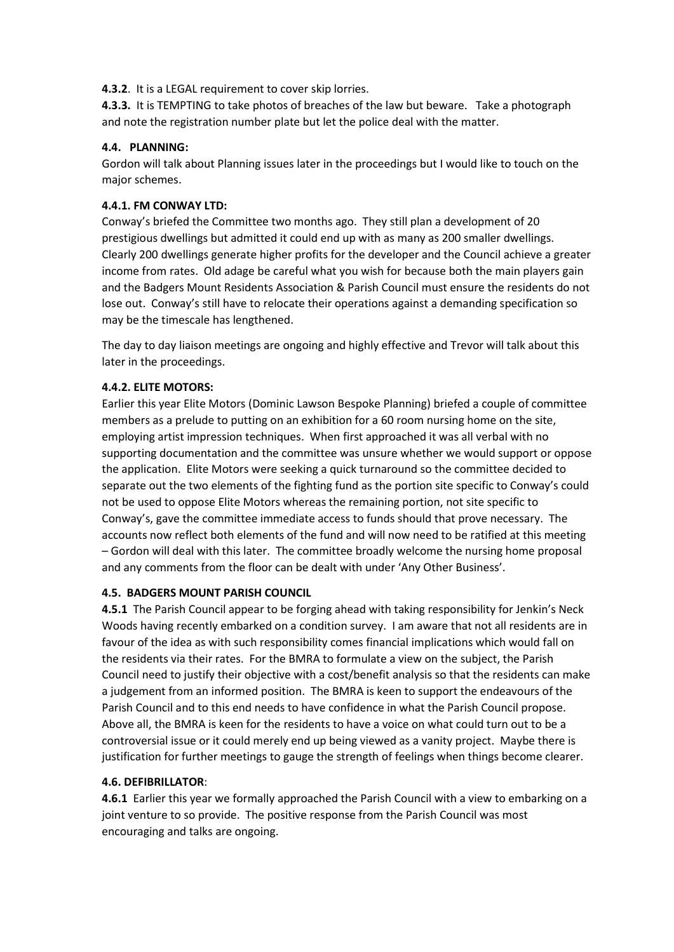4.3.2. It is a LEGAL requirement to cover skip lorries.

4.3.3. It is TEMPTING to take photos of breaches of the law but beware. Take a photograph and note the registration number plate but let the police deal with the matter.

# 4.4. PLANNING:

Gordon will talk about Planning issues later in the proceedings but I would like to touch on the major schemes.

# 4.4.1. FM CONWAY LTD:

Conway's briefed the Committee two months ago. They still plan a development of 20 prestigious dwellings but admitted it could end up with as many as 200 smaller dwellings. Clearly 200 dwellings generate higher profits for the developer and the Council achieve a greater income from rates. Old adage be careful what you wish for because both the main players gain and the Badgers Mount Residents Association & Parish Council must ensure the residents do not lose out. Conway's still have to relocate their operations against a demanding specification so may be the timescale has lengthened.

The day to day liaison meetings are ongoing and highly effective and Trevor will talk about this later in the proceedings.

### 4.4.2. ELITE MOTORS:

Earlier this year Elite Motors (Dominic Lawson Bespoke Planning) briefed a couple of committee members as a prelude to putting on an exhibition for a 60 room nursing home on the site, employing artist impression techniques. When first approached it was all verbal with no supporting documentation and the committee was unsure whether we would support or oppose the application. Elite Motors were seeking a quick turnaround so the committee decided to separate out the two elements of the fighting fund as the portion site specific to Conway's could not be used to oppose Elite Motors whereas the remaining portion, not site specific to Conway's, gave the committee immediate access to funds should that prove necessary. The accounts now reflect both elements of the fund and will now need to be ratified at this meeting – Gordon will deal with this later. The committee broadly welcome the nursing home proposal and any comments from the floor can be dealt with under 'Any Other Business'.

### 4.5. BADGERS MOUNT PARISH COUNCIL

4.5.1 The Parish Council appear to be forging ahead with taking responsibility for Jenkin's Neck Woods having recently embarked on a condition survey. I am aware that not all residents are in favour of the idea as with such responsibility comes financial implications which would fall on the residents via their rates. For the BMRA to formulate a view on the subject, the Parish Council need to justify their objective with a cost/benefit analysis so that the residents can make a judgement from an informed position. The BMRA is keen to support the endeavours of the Parish Council and to this end needs to have confidence in what the Parish Council propose. Above all, the BMRA is keen for the residents to have a voice on what could turn out to be a controversial issue or it could merely end up being viewed as a vanity project. Maybe there is justification for further meetings to gauge the strength of feelings when things become clearer.

# 4.6. DEFIBRILLATOR:

4.6.1 Earlier this year we formally approached the Parish Council with a view to embarking on a joint venture to so provide. The positive response from the Parish Council was most encouraging and talks are ongoing.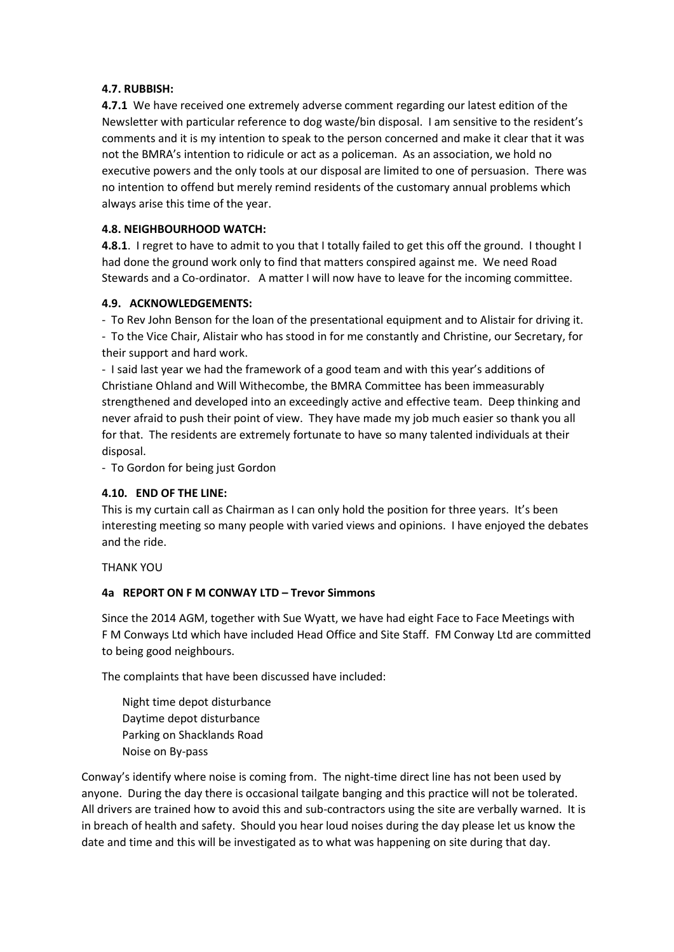### 4.7. RUBBISH:

4.7.1 We have received one extremely adverse comment regarding our latest edition of the Newsletter with particular reference to dog waste/bin disposal. I am sensitive to the resident's comments and it is my intention to speak to the person concerned and make it clear that it was not the BMRA's intention to ridicule or act as a policeman. As an association, we hold no executive powers and the only tools at our disposal are limited to one of persuasion. There was no intention to offend but merely remind residents of the customary annual problems which always arise this time of the year.

### 4.8. NEIGHBOURHOOD WATCH:

4.8.1. I regret to have to admit to you that I totally failed to get this off the ground. I thought I had done the ground work only to find that matters conspired against me. We need Road Stewards and a Co-ordinator. A matter I will now have to leave for the incoming committee.

### 4.9. ACKNOWLEDGEMENTS:

- To Rev John Benson for the loan of the presentational equipment and to Alistair for driving it. - To the Vice Chair, Alistair who has stood in for me constantly and Christine, our Secretary, for their support and hard work.

- I said last year we had the framework of a good team and with this year's additions of Christiane Ohland and Will Withecombe, the BMRA Committee has been immeasurably strengthened and developed into an exceedingly active and effective team. Deep thinking and never afraid to push their point of view. They have made my job much easier so thank you all for that. The residents are extremely fortunate to have so many talented individuals at their disposal.

- To Gordon for being just Gordon

# 4.10. END OF THE LINE:

This is my curtain call as Chairman as I can only hold the position for three years. It's been interesting meeting so many people with varied views and opinions. I have enjoyed the debates and the ride.

THANK YOU

# 4a REPORT ON F M CONWAY LTD – Trevor Simmons

Since the 2014 AGM, together with Sue Wyatt, we have had eight Face to Face Meetings with F M Conways Ltd which have included Head Office and Site Staff. FM Conway Ltd are committed to being good neighbours.

The complaints that have been discussed have included:

Night time depot disturbance Daytime depot disturbance Parking on Shacklands Road Noise on By-pass

Conway's identify where noise is coming from. The night-time direct line has not been used by anyone. During the day there is occasional tailgate banging and this practice will not be tolerated. All drivers are trained how to avoid this and sub-contractors using the site are verbally warned. It is in breach of health and safety. Should you hear loud noises during the day please let us know the date and time and this will be investigated as to what was happening on site during that day.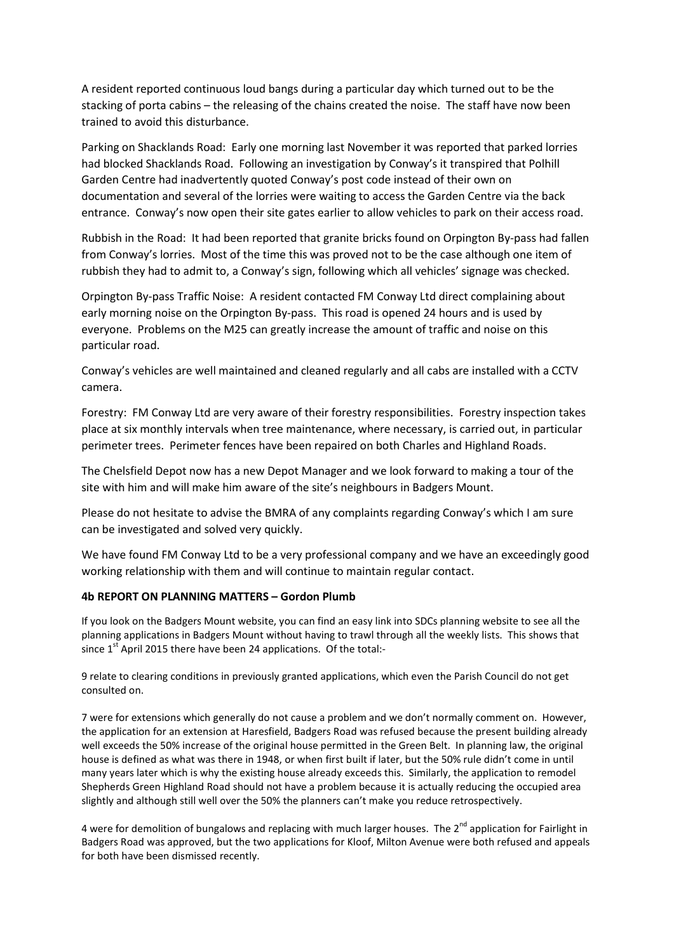A resident reported continuous loud bangs during a particular day which turned out to be the stacking of porta cabins – the releasing of the chains created the noise. The staff have now been trained to avoid this disturbance.

Parking on Shacklands Road: Early one morning last November it was reported that parked lorries had blocked Shacklands Road. Following an investigation by Conway's it transpired that Polhill Garden Centre had inadvertently quoted Conway's post code instead of their own on documentation and several of the lorries were waiting to access the Garden Centre via the back entrance. Conway's now open their site gates earlier to allow vehicles to park on their access road.

Rubbish in the Road: It had been reported that granite bricks found on Orpington By-pass had fallen from Conway's lorries. Most of the time this was proved not to be the case although one item of rubbish they had to admit to, a Conway's sign, following which all vehicles' signage was checked.

Orpington By-pass Traffic Noise: A resident contacted FM Conway Ltd direct complaining about early morning noise on the Orpington By-pass. This road is opened 24 hours and is used by everyone. Problems on the M25 can greatly increase the amount of traffic and noise on this particular road.

Conway's vehicles are well maintained and cleaned regularly and all cabs are installed with a CCTV camera.

Forestry: FM Conway Ltd are very aware of their forestry responsibilities. Forestry inspection takes place at six monthly intervals when tree maintenance, where necessary, is carried out, in particular perimeter trees. Perimeter fences have been repaired on both Charles and Highland Roads.

The Chelsfield Depot now has a new Depot Manager and we look forward to making a tour of the site with him and will make him aware of the site's neighbours in Badgers Mount.

Please do not hesitate to advise the BMRA of any complaints regarding Conway's which I am sure can be investigated and solved very quickly.

We have found FM Conway Ltd to be a very professional company and we have an exceedingly good working relationship with them and will continue to maintain regular contact.

#### 4b REPORT ON PLANNING MATTERS – Gordon Plumb

If you look on the Badgers Mount website, you can find an easy link into SDCs planning website to see all the planning applications in Badgers Mount without having to trawl through all the weekly lists. This shows that since  $1<sup>st</sup>$  April 2015 there have been 24 applications. Of the total:-

9 relate to clearing conditions in previously granted applications, which even the Parish Council do not get consulted on.

7 were for extensions which generally do not cause a problem and we don't normally comment on. However, the application for an extension at Haresfield, Badgers Road was refused because the present building already well exceeds the 50% increase of the original house permitted in the Green Belt. In planning law, the original house is defined as what was there in 1948, or when first built if later, but the 50% rule didn't come in until many years later which is why the existing house already exceeds this. Similarly, the application to remodel Shepherds Green Highland Road should not have a problem because it is actually reducing the occupied area slightly and although still well over the 50% the planners can't make you reduce retrospectively.

4 were for demolition of bungalows and replacing with much larger houses. The 2<sup>nd</sup> application for Fairlight in Badgers Road was approved, but the two applications for Kloof, Milton Avenue were both refused and appeals for both have been dismissed recently.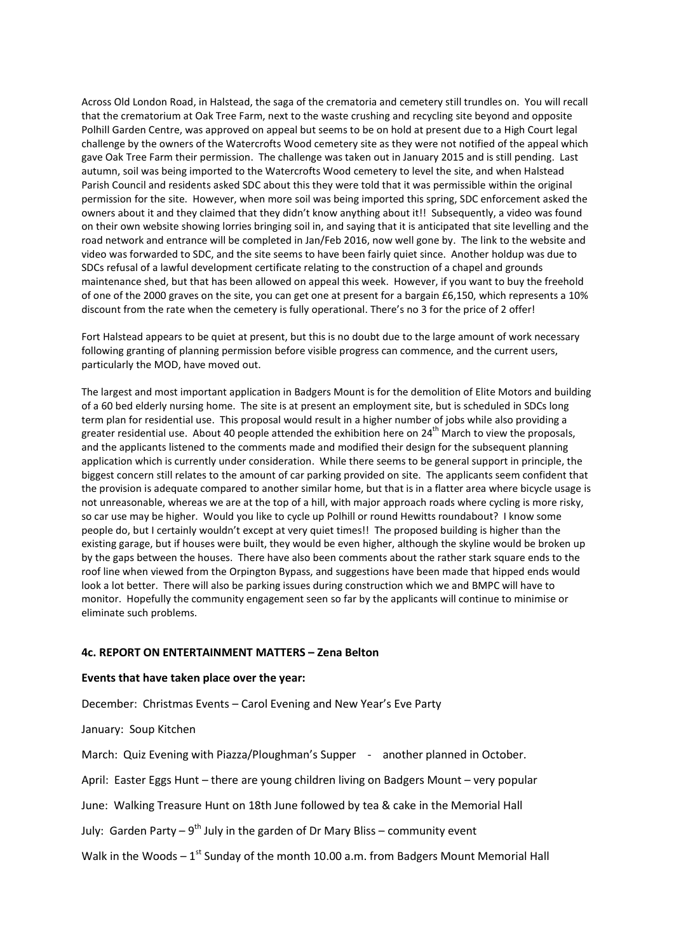Across Old London Road, in Halstead, the saga of the crematoria and cemetery still trundles on. You will recall that the crematorium at Oak Tree Farm, next to the waste crushing and recycling site beyond and opposite Polhill Garden Centre, was approved on appeal but seems to be on hold at present due to a High Court legal challenge by the owners of the Watercrofts Wood cemetery site as they were not notified of the appeal which gave Oak Tree Farm their permission. The challenge was taken out in January 2015 and is still pending. Last autumn, soil was being imported to the Watercrofts Wood cemetery to level the site, and when Halstead Parish Council and residents asked SDC about this they were told that it was permissible within the original permission for the site. However, when more soil was being imported this spring, SDC enforcement asked the owners about it and they claimed that they didn't know anything about it!! Subsequently, a video was found on their own website showing lorries bringing soil in, and saying that it is anticipated that site levelling and the road network and entrance will be completed in Jan/Feb 2016, now well gone by. The link to the website and video was forwarded to SDC, and the site seems to have been fairly quiet since. Another holdup was due to SDCs refusal of a lawful development certificate relating to the construction of a chapel and grounds maintenance shed, but that has been allowed on appeal this week. However, if you want to buy the freehold of one of the 2000 graves on the site, you can get one at present for a bargain £6,150, which represents a 10% discount from the rate when the cemetery is fully operational. There's no 3 for the price of 2 offer!

Fort Halstead appears to be quiet at present, but this is no doubt due to the large amount of work necessary following granting of planning permission before visible progress can commence, and the current users, particularly the MOD, have moved out.

The largest and most important application in Badgers Mount is for the demolition of Elite Motors and building of a 60 bed elderly nursing home. The site is at present an employment site, but is scheduled in SDCs long term plan for residential use. This proposal would result in a higher number of jobs while also providing a greater residential use. About 40 people attended the exhibition here on  $24<sup>th</sup>$  March to view the proposals, and the applicants listened to the comments made and modified their design for the subsequent planning application which is currently under consideration. While there seems to be general support in principle, the biggest concern still relates to the amount of car parking provided on site. The applicants seem confident that the provision is adequate compared to another similar home, but that is in a flatter area where bicycle usage is not unreasonable, whereas we are at the top of a hill, with major approach roads where cycling is more risky, so car use may be higher. Would you like to cycle up Polhill or round Hewitts roundabout? I know some people do, but I certainly wouldn't except at very quiet times!! The proposed building is higher than the existing garage, but if houses were built, they would be even higher, although the skyline would be broken up by the gaps between the houses. There have also been comments about the rather stark square ends to the roof line when viewed from the Orpington Bypass, and suggestions have been made that hipped ends would look a lot better. There will also be parking issues during construction which we and BMPC will have to monitor. Hopefully the community engagement seen so far by the applicants will continue to minimise or eliminate such problems.

#### 4c. REPORT ON ENTERTAINMENT MATTERS – Zena Belton

#### Events that have taken place over the year:

December: Christmas Events – Carol Evening and New Year's Eve Party

January: Soup Kitchen

March: Quiz Evening with Piazza/Ploughman's Supper - another planned in October.

April: Easter Eggs Hunt – there are young children living on Badgers Mount – very popular

June: Walking Treasure Hunt on 18th June followed by tea & cake in the Memorial Hall

July: Garden Party –  $9^{th}$  July in the garden of Dr Mary Bliss – community event

Walk in the Woods  $-1^{st}$  Sunday of the month 10.00 a.m. from Badgers Mount Memorial Hall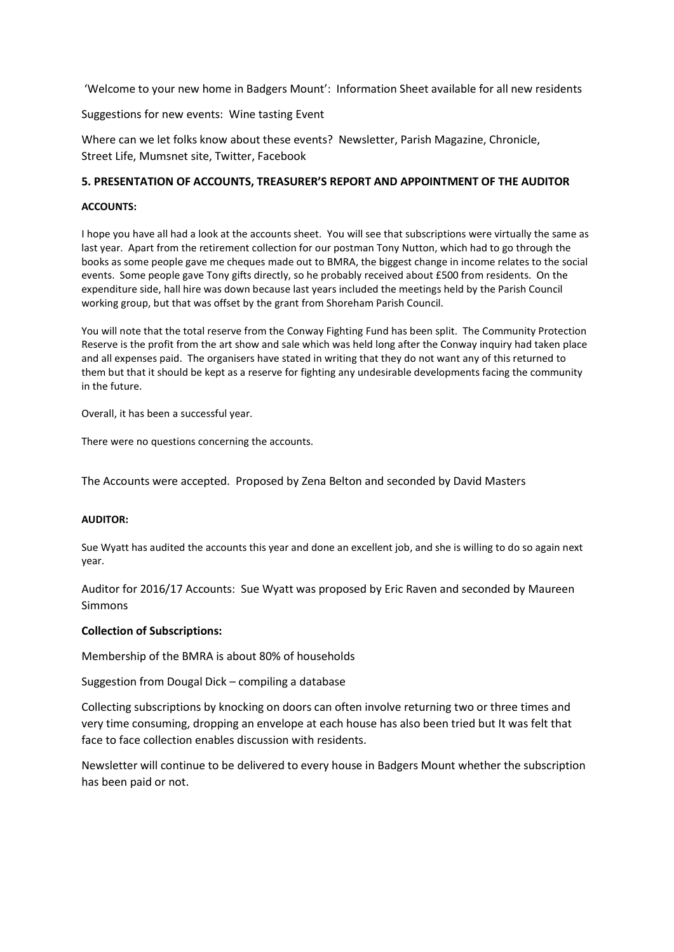'Welcome to your new home in Badgers Mount': Information Sheet available for all new residents

Suggestions for new events: Wine tasting Event

Where can we let folks know about these events? Newsletter, Parish Magazine, Chronicle, Street Life, Mumsnet site, Twitter, Facebook

### 5. PRESENTATION OF ACCOUNTS, TREASURER'S REPORT AND APPOINTMENT OF THE AUDITOR

#### ACCOUNTS:

I hope you have all had a look at the accounts sheet. You will see that subscriptions were virtually the same as last year. Apart from the retirement collection for our postman Tony Nutton, which had to go through the books as some people gave me cheques made out to BMRA, the biggest change in income relates to the social events. Some people gave Tony gifts directly, so he probably received about £500 from residents. On the expenditure side, hall hire was down because last years included the meetings held by the Parish Council working group, but that was offset by the grant from Shoreham Parish Council.

You will note that the total reserve from the Conway Fighting Fund has been split. The Community Protection Reserve is the profit from the art show and sale which was held long after the Conway inquiry had taken place and all expenses paid. The organisers have stated in writing that they do not want any of this returned to them but that it should be kept as a reserve for fighting any undesirable developments facing the community in the future.

Overall, it has been a successful year.

There were no questions concerning the accounts.

The Accounts were accepted. Proposed by Zena Belton and seconded by David Masters

#### AUDITOR:

Sue Wyatt has audited the accounts this year and done an excellent job, and she is willing to do so again next year.

Auditor for 2016/17 Accounts: Sue Wyatt was proposed by Eric Raven and seconded by Maureen Simmons

### Collection of Subscriptions:

Membership of the BMRA is about 80% of households

Suggestion from Dougal Dick – compiling a database

Collecting subscriptions by knocking on doors can often involve returning two or three times and very time consuming, dropping an envelope at each house has also been tried but It was felt that face to face collection enables discussion with residents.

Newsletter will continue to be delivered to every house in Badgers Mount whether the subscription has been paid or not.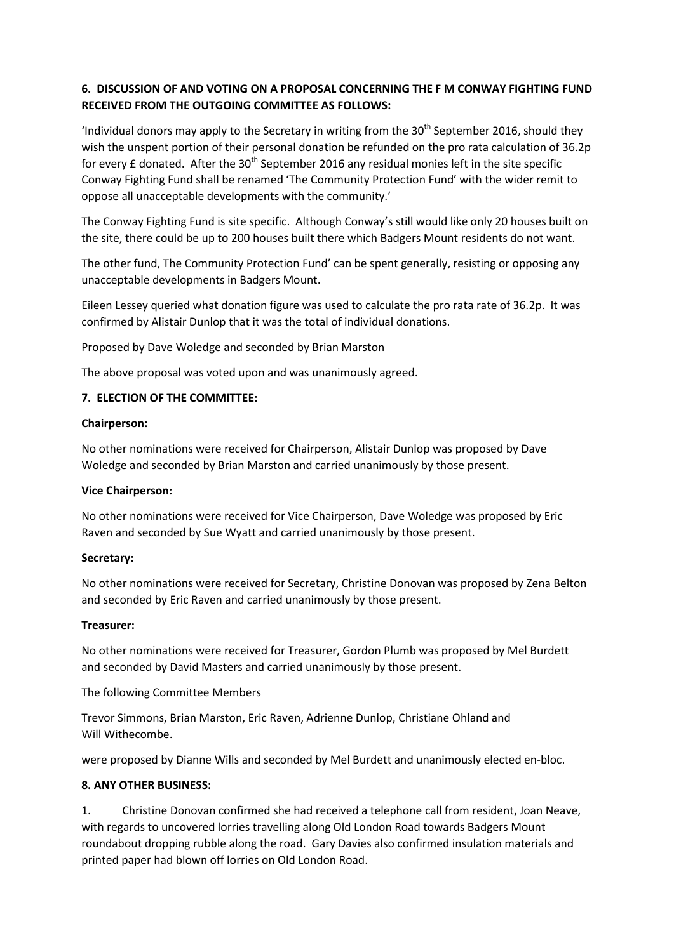# 6. DISCUSSION OF AND VOTING ON A PROPOSAL CONCERNING THE F M CONWAY FIGHTING FUND RECEIVED FROM THE OUTGOING COMMITTEE AS FOLLOWS:

'Individual donors may apply to the Secretary in writing from the  $30<sup>th</sup>$  September 2016, should they wish the unspent portion of their personal donation be refunded on the pro rata calculation of 36.2p for every  $E$  donated. After the 30<sup>th</sup> September 2016 any residual monies left in the site specific Conway Fighting Fund shall be renamed 'The Community Protection Fund' with the wider remit to oppose all unacceptable developments with the community.'

The Conway Fighting Fund is site specific. Although Conway's still would like only 20 houses built on the site, there could be up to 200 houses built there which Badgers Mount residents do not want.

The other fund, The Community Protection Fund' can be spent generally, resisting or opposing any unacceptable developments in Badgers Mount.

Eileen Lessey queried what donation figure was used to calculate the pro rata rate of 36.2p. It was confirmed by Alistair Dunlop that it was the total of individual donations.

Proposed by Dave Woledge and seconded by Brian Marston

The above proposal was voted upon and was unanimously agreed.

### 7. ELECTION OF THE COMMITTEE:

#### Chairperson:

No other nominations were received for Chairperson, Alistair Dunlop was proposed by Dave Woledge and seconded by Brian Marston and carried unanimously by those present.

#### Vice Chairperson:

No other nominations were received for Vice Chairperson, Dave Woledge was proposed by Eric Raven and seconded by Sue Wyatt and carried unanimously by those present.

#### Secretary:

No other nominations were received for Secretary, Christine Donovan was proposed by Zena Belton and seconded by Eric Raven and carried unanimously by those present.

#### Treasurer:

No other nominations were received for Treasurer, Gordon Plumb was proposed by Mel Burdett and seconded by David Masters and carried unanimously by those present.

The following Committee Members

Trevor Simmons, Brian Marston, Eric Raven, Adrienne Dunlop, Christiane Ohland and Will Withecombe.

were proposed by Dianne Wills and seconded by Mel Burdett and unanimously elected en-bloc.

### 8. ANY OTHER BUSINESS:

1. Christine Donovan confirmed she had received a telephone call from resident, Joan Neave, with regards to uncovered lorries travelling along Old London Road towards Badgers Mount roundabout dropping rubble along the road. Gary Davies also confirmed insulation materials and printed paper had blown off lorries on Old London Road.